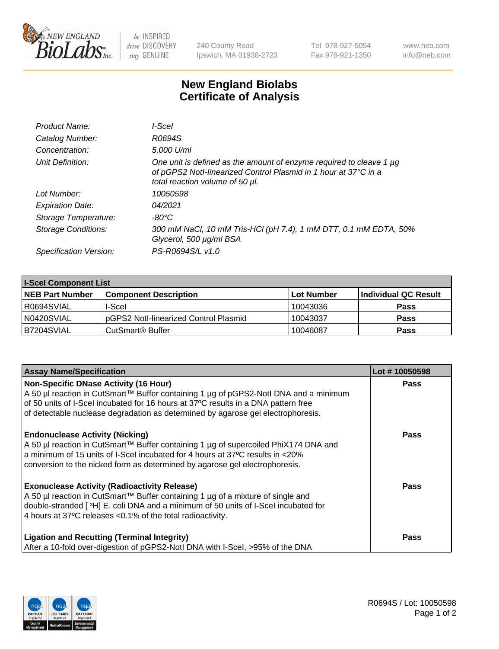

 $be$  INSPIRED drive DISCOVERY stay GENUINE

240 County Road Ipswich, MA 01938-2723 Tel 978-927-5054 Fax 978-921-1350 www.neb.com info@neb.com

## **New England Biolabs Certificate of Analysis**

| Product Name:              | l-Scel                                                                                                                                                                         |
|----------------------------|--------------------------------------------------------------------------------------------------------------------------------------------------------------------------------|
| Catalog Number:            | R0694S                                                                                                                                                                         |
| Concentration:             | 5,000 U/ml                                                                                                                                                                     |
| Unit Definition:           | One unit is defined as the amount of enzyme required to cleave 1 $\mu$ g<br>of pGPS2 Notl-linearized Control Plasmid in 1 hour at 37°C in a<br>total reaction volume of 50 µl. |
| Lot Number:                | 10050598                                                                                                                                                                       |
| <b>Expiration Date:</b>    | 04/2021                                                                                                                                                                        |
| Storage Temperature:       | $-80^{\circ}$ C                                                                                                                                                                |
| <b>Storage Conditions:</b> | 300 mM NaCl, 10 mM Tris-HCl (pH 7.4), 1 mM DTT, 0.1 mM EDTA, 50%<br>Glycerol, 500 µg/ml BSA                                                                                    |
| Specification Version:     | PS-R0694S/L v1.0                                                                                                                                                               |

| <b>I-Scel Component List</b> |                                        |            |                      |  |
|------------------------------|----------------------------------------|------------|----------------------|--|
| <b>NEB Part Number</b>       | <b>Component Description</b>           | Lot Number | Individual QC Result |  |
| R0694SVIAL                   | I-Scel                                 | 10043036   | <b>Pass</b>          |  |
| N0420SVIAL                   | IpGPS2 Notl-linearized Control Plasmid | 10043037   | <b>Pass</b>          |  |
| B7204SVIAL                   | CutSmart <sup>®</sup> Buffer           | 10046087   | <b>Pass</b>          |  |

| <b>Assay Name/Specification</b>                                                                                                                                                                                            | Lot #10050598 |
|----------------------------------------------------------------------------------------------------------------------------------------------------------------------------------------------------------------------------|---------------|
| <b>Non-Specific DNase Activity (16 Hour)</b><br>A 50 µl reaction in CutSmart™ Buffer containing 1 µg of pGPS2-Notl DNA and a minimum<br>of 50 units of I-Scel incubated for 16 hours at 37°C results in a DNA pattern free | <b>Pass</b>   |
| of detectable nuclease degradation as determined by agarose gel electrophoresis.                                                                                                                                           |               |
| <b>Endonuclease Activity (Nicking)</b><br>A 50 µl reaction in CutSmart™ Buffer containing 1 µg of supercoiled PhiX174 DNA and                                                                                              | <b>Pass</b>   |
| a minimum of 15 units of I-Scel incubated for 4 hours at 37°C results in <20%<br>conversion to the nicked form as determined by agarose gel electrophoresis.                                                               |               |
| <b>Exonuclease Activity (Radioactivity Release)</b>                                                                                                                                                                        | Pass          |
| A 50 µl reaction in CutSmart™ Buffer containing 1 µg of a mixture of single and<br>double-stranded [3H] E. coli DNA and a minimum of 50 units of I-Scel incubated for                                                      |               |
| 4 hours at 37°C releases < 0.1% of the total radioactivity.                                                                                                                                                                |               |
| <b>Ligation and Recutting (Terminal Integrity)</b>                                                                                                                                                                         | <b>Pass</b>   |
| After a 10-fold over-digestion of pGPS2-Notl DNA with I-Scel, >95% of the DNA                                                                                                                                              |               |